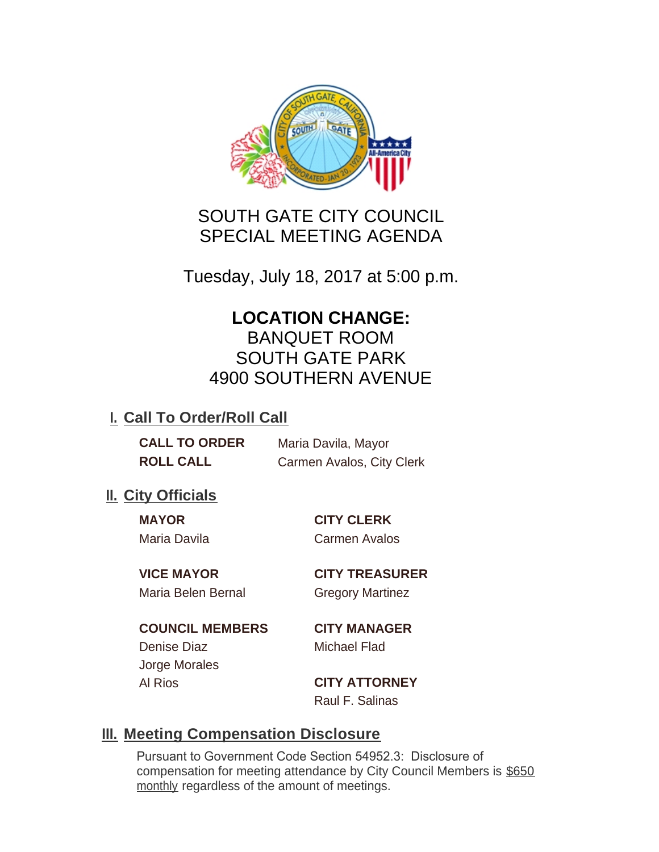

## SOUTH GATE CITY COUNCIL SPECIAL MEETING AGENDA

Tuesday, July 18, 2017 at 5:00 p.m.

# **LOCATION CHANGE:**

BANQUET ROOM SOUTH GATE PARK 4900 SOUTHERN AVENUE

### **I. Call To Order/Roll Call**

**CALL TO ORDER** Maria Davila, Mayor **ROLL CALL** Carmen Avalos, City Clerk

### **II.** City Officials

**MAYOR CITY CLERK** Maria Davila Carmen Avalos

Maria Belen Bernal **Gregory Martinez** 

**VICE MAYOR CITY TREASURER**

**COUNCIL MEMBERS CITY MANAGER** Denise Diaz Michael Flad Jorge Morales Al Rios **CITY ATTORNEY**

Raul F. Salinas

### **Meeting Compensation Disclosure III.**

Pursuant to Government Code Section 54952.3: Disclosure of compensation for meeting attendance by City Council Members is \$650 monthly regardless of the amount of meetings.